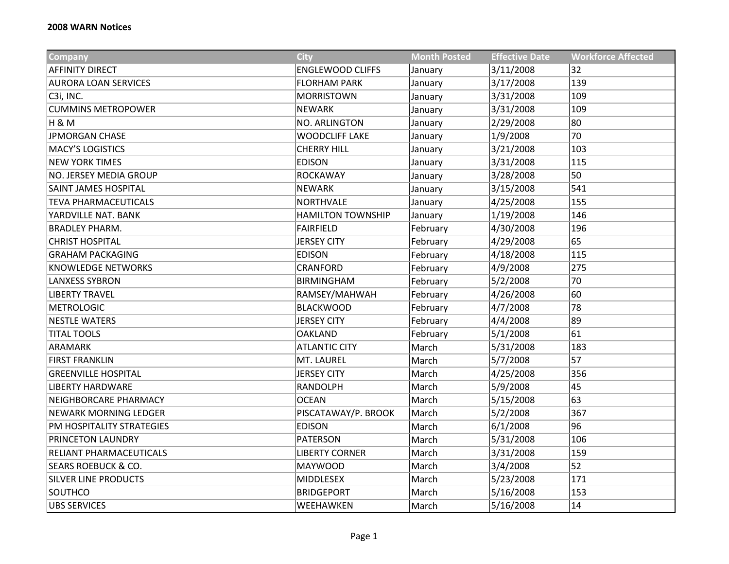| <b>Company</b>                 | <b>City</b>              | <b>Month Posted</b> | <b>Effective Date</b> | <b>Workforce Affected</b> |
|--------------------------------|--------------------------|---------------------|-----------------------|---------------------------|
| <b>AFFINITY DIRECT</b>         | <b>ENGLEWOOD CLIFFS</b>  | January             | 3/11/2008             | 32                        |
| <b>AURORA LOAN SERVICES</b>    | <b>FLORHAM PARK</b>      | January             | 3/17/2008             | 139                       |
| C3i, INC.                      | <b>MORRISTOWN</b>        | January             | 3/31/2008             | 109                       |
| <b>CUMMINS METROPOWER</b>      | <b>NEWARK</b>            | January             | 3/31/2008             | 109                       |
| H&M                            | NO. ARLINGTON            | January             | 2/29/2008             | 80                        |
| <b>JPMORGAN CHASE</b>          | <b>WOODCLIFF LAKE</b>    | January             | 1/9/2008              | 70                        |
| <b>MACY'S LOGISTICS</b>        | <b>CHERRY HILL</b>       | January             | 3/21/2008             | 103                       |
| <b>NEW YORK TIMES</b>          | <b>EDISON</b>            | January             | 3/31/2008             | 115                       |
| <b>NO. JERSEY MEDIA GROUP</b>  | <b>ROCKAWAY</b>          | January             | 3/28/2008             | 50                        |
| <b>SAINT JAMES HOSPITAL</b>    | <b>NEWARK</b>            | January             | 3/15/2008             | 541                       |
| <b>TEVA PHARMACEUTICALS</b>    | NORTHVALE                | January             | 4/25/2008             | 155                       |
| YARDVILLE NAT. BANK            | <b>HAMILTON TOWNSHIP</b> | January             | 1/19/2008             | 146                       |
| <b>BRADLEY PHARM.</b>          | <b>FAIRFIELD</b>         | February            | 4/30/2008             | 196                       |
| <b>CHRIST HOSPITAL</b>         | <b>JERSEY CITY</b>       | February            | 4/29/2008             | 65                        |
| <b>GRAHAM PACKAGING</b>        | <b>EDISON</b>            | February            | 4/18/2008             | 115                       |
| <b>KNOWLEDGE NETWORKS</b>      | CRANFORD                 | February            | 4/9/2008              | 275                       |
| <b>LANXESS SYBRON</b>          | <b>BIRMINGHAM</b>        | February            | 5/2/2008              | 70                        |
| <b>LIBERTY TRAVEL</b>          | RAMSEY/MAHWAH            | February            | 4/26/2008             | 60                        |
| <b>METROLOGIC</b>              | <b>BLACKWOOD</b>         | February            | 4/7/2008              | 78                        |
| <b>NESTLE WATERS</b>           | <b>JERSEY CITY</b>       | February            | 4/4/2008              | 89                        |
| <b>TITAL TOOLS</b>             | <b>OAKLAND</b>           | February            | 5/1/2008              | 61                        |
| <b>ARAMARK</b>                 | <b>ATLANTIC CITY</b>     | March               | 5/31/2008             | 183                       |
| <b>FIRST FRANKLIN</b>          | MT. LAUREL               | March               | 5/7/2008              | 57                        |
| <b>GREENVILLE HOSPITAL</b>     | <b>JERSEY CITY</b>       | March               | 4/25/2008             | 356                       |
| <b>LIBERTY HARDWARE</b>        | <b>RANDOLPH</b>          | March               | 5/9/2008              | 45                        |
| NEIGHBORCARE PHARMACY          | <b>OCEAN</b>             | March               | 5/15/2008             | 63                        |
| <b>NEWARK MORNING LEDGER</b>   | PISCATAWAY/P. BROOK      | March               | 5/2/2008              | 367                       |
| PM HOSPITALITY STRATEGIES      | <b>EDISON</b>            | March               | 6/1/2008              | 96                        |
| <b>PRINCETON LAUNDRY</b>       | <b>PATERSON</b>          | March               | 5/31/2008             | 106                       |
| RELIANT PHARMACEUTICALS        | <b>LIBERTY CORNER</b>    | March               | 3/31/2008             | 159                       |
| <b>SEARS ROEBUCK &amp; CO.</b> | <b>MAYWOOD</b>           | March               | 3/4/2008              | 52                        |
| <b>SILVER LINE PRODUCTS</b>    | MIDDLESEX                | March               | 5/23/2008             | 171                       |
| SOUTHCO                        | <b>BRIDGEPORT</b>        | March               | 5/16/2008             | 153                       |
| <b>UBS SERVICES</b>            | WEEHAWKEN                | March               | 5/16/2008             | 14                        |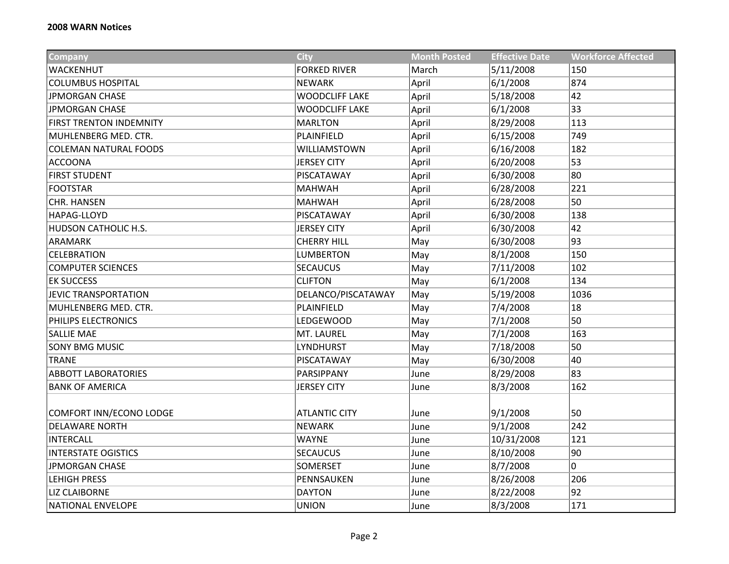| <b>Company</b>                 | <b>City</b>           | <b>Month Posted</b> | <b>Effective Date</b> | <b>Workforce Affected</b> |
|--------------------------------|-----------------------|---------------------|-----------------------|---------------------------|
| WACKENHUT                      | <b>FORKED RIVER</b>   | March               | 5/11/2008             | 150                       |
| <b>COLUMBUS HOSPITAL</b>       | <b>NEWARK</b>         | April               | 6/1/2008              | 874                       |
| <b>JPMORGAN CHASE</b>          | <b>WOODCLIFF LAKE</b> | April               | 5/18/2008             | 42                        |
| <b>JPMORGAN CHASE</b>          | <b>WOODCLIFF LAKE</b> | April               | 6/1/2008              | 33                        |
| <b>FIRST TRENTON INDEMNITY</b> | <b>MARLTON</b>        | April               | 8/29/2008             | 113                       |
| MUHLENBERG MED. CTR.           | PLAINFIELD            | April               | 6/15/2008             | 749                       |
| <b>COLEMAN NATURAL FOODS</b>   | WILLIAMSTOWN          | April               | 6/16/2008             | 182                       |
| <b>ACCOONA</b>                 | <b>JERSEY CITY</b>    | April               | 6/20/2008             | 53                        |
| <b>FIRST STUDENT</b>           | PISCATAWAY            | April               | 6/30/2008             | 80                        |
| <b>FOOTSTAR</b>                | <b>MAHWAH</b>         | April               | 6/28/2008             | 221                       |
| <b>CHR. HANSEN</b>             | <b>MAHWAH</b>         | April               | 6/28/2008             | 50                        |
| <b>HAPAG-LLOYD</b>             | PISCATAWAY            | April               | 6/30/2008             | 138                       |
| HUDSON CATHOLIC H.S.           | <b>JERSEY CITY</b>    | April               | 6/30/2008             | 42                        |
| ARAMARK                        | <b>CHERRY HILL</b>    | May                 | 6/30/2008             | 93                        |
| CELEBRATION                    | <b>LUMBERTON</b>      | May                 | 8/1/2008              | 150                       |
| <b>COMPUTER SCIENCES</b>       | <b>SECAUCUS</b>       | May                 | 7/11/2008             | 102                       |
| <b>EK SUCCESS</b>              | <b>CLIFTON</b>        | May                 | 6/1/2008              | 134                       |
| <b>JEVIC TRANSPORTATION</b>    | DELANCO/PISCATAWAY    | May                 | 5/19/2008             | 1036                      |
| MUHLENBERG MED. CTR.           | PLAINFIELD            | May                 | 7/4/2008              | 18                        |
| PHILIPS ELECTRONICS            | <b>LEDGEWOOD</b>      | May                 | 7/1/2008              | 50                        |
| <b>SALLIE MAE</b>              | MT. LAUREL            | May                 | 7/1/2008              | 163                       |
| <b>SONY BMG MUSIC</b>          | <b>LYNDHURST</b>      | May                 | 7/18/2008             | 50                        |
| <b>TRANE</b>                   | PISCATAWAY            | May                 | 6/30/2008             | 40                        |
| <b>ABBOTT LABORATORIES</b>     | PARSIPPANY            | June                | 8/29/2008             | 83                        |
| <b>BANK OF AMERICA</b>         | <b>JERSEY CITY</b>    | June                | 8/3/2008              | 162                       |
|                                |                       |                     |                       |                           |
| COMFORT INN/ECONO LODGE        | <b>ATLANTIC CITY</b>  | June                | 9/1/2008              | 50                        |
| <b>DELAWARE NORTH</b>          | <b>NEWARK</b>         | June                | 9/1/2008              | 242                       |
| <b>INTERCALL</b>               | <b>WAYNE</b>          | June                | 10/31/2008            | 121                       |
| <b>INTERSTATE OGISTICS</b>     | <b>SECAUCUS</b>       | June                | 8/10/2008             | 90                        |
| <b>JPMORGAN CHASE</b>          | SOMERSET              | June                | 8/7/2008              | 0                         |
| <b>LEHIGH PRESS</b>            | PENNSAUKEN            | June                | 8/26/2008             | 206                       |
| <b>LIZ CLAIBORNE</b>           | <b>DAYTON</b>         | June                | 8/22/2008             | 92                        |
| <b>NATIONAL ENVELOPE</b>       | <b>UNION</b>          | June                | 8/3/2008              | 171                       |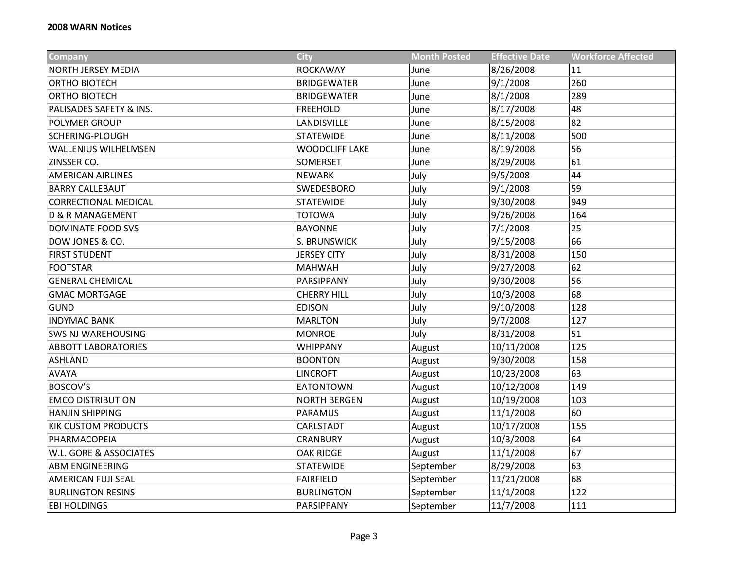| <b>Company</b>              | <b>City</b>           | <b>Month Posted</b> | <b>Effective Date</b> | <b>Workforce Affected</b> |
|-----------------------------|-----------------------|---------------------|-----------------------|---------------------------|
| NORTH JERSEY MEDIA          | <b>ROCKAWAY</b>       | June                | 8/26/2008             | 11                        |
| ORTHO BIOTECH               | <b>BRIDGEWATER</b>    | June                | 9/1/2008              | 260                       |
| ORTHO BIOTECH               | <b>BRIDGEWATER</b>    | June                | 8/1/2008              | 289                       |
| PALISADES SAFETY & INS.     | <b>FREEHOLD</b>       | June                | 8/17/2008             | 48                        |
| <b>POLYMER GROUP</b>        | LANDISVILLE           | June                | 8/15/2008             | 82                        |
| <b>SCHERING-PLOUGH</b>      | <b>STATEWIDE</b>      | June                | 8/11/2008             | 500                       |
| <b>WALLENIUS WILHELMSEN</b> | <b>WOODCLIFF LAKE</b> | June                | 8/19/2008             | 56                        |
| ZINSSER CO.                 | <b>SOMERSET</b>       | June                | 8/29/2008             | 61                        |
| <b>AMERICAN AIRLINES</b>    | <b>NEWARK</b>         | July                | 9/5/2008              | 44                        |
| <b>BARRY CALLEBAUT</b>      | SWEDESBORO            | July                | 9/1/2008              | 59                        |
| <b>CORRECTIONAL MEDICAL</b> | <b>STATEWIDE</b>      | July                | 9/30/2008             | 949                       |
| <b>D &amp; R MANAGEMENT</b> | <b>TOTOWA</b>         | July                | 9/26/2008             | 164                       |
| <b>DOMINATE FOOD SVS</b>    | <b>BAYONNE</b>        | July                | 7/1/2008              | 25                        |
| DOW JONES & CO.             | S. BRUNSWICK          | July                | 9/15/2008             | 66                        |
| <b>FIRST STUDENT</b>        | <b>JERSEY CITY</b>    | July                | 8/31/2008             | 150                       |
| <b>FOOTSTAR</b>             | <b>MAHWAH</b>         | July                | 9/27/2008             | 62                        |
| <b>GENERAL CHEMICAL</b>     | PARSIPPANY            | July                | 9/30/2008             | 56                        |
| <b>GMAC MORTGAGE</b>        | <b>CHERRY HILL</b>    | July                | 10/3/2008             | 68                        |
| <b>GUND</b>                 | <b>EDISON</b>         | July                | 9/10/2008             | 128                       |
| <b>INDYMAC BANK</b>         | <b>MARLTON</b>        | July                | 9/7/2008              | 127                       |
| <b>SWS NJ WAREHOUSING</b>   | <b>MONROE</b>         | July                | 8/31/2008             | 51                        |
| <b>ABBOTT LABORATORIES</b>  | <b>WHIPPANY</b>       | August              | 10/11/2008            | 125                       |
| <b>ASHLAND</b>              | <b>BOONTON</b>        | August              | 9/30/2008             | 158                       |
| <b>AVAYA</b>                | <b>LINCROFT</b>       | August              | 10/23/2008            | 63                        |
| <b>BOSCOV'S</b>             | <b>EATONTOWN</b>      | August              | 10/12/2008            | 149                       |
| <b>EMCO DISTRIBUTION</b>    | <b>NORTH BERGEN</b>   | August              | 10/19/2008            | 103                       |
| <b>HANJIN SHIPPING</b>      | <b>PARAMUS</b>        | August              | 11/1/2008             | 60                        |
| <b>KIK CUSTOM PRODUCTS</b>  | CARLSTADT             | August              | 10/17/2008            | 155                       |
| PHARMACOPEIA                | CRANBURY              | August              | 10/3/2008             | 64                        |
| W.L. GORE & ASSOCIATES      | <b>OAK RIDGE</b>      | August              | 11/1/2008             | 67                        |
| <b>ABM ENGINEERING</b>      | <b>STATEWIDE</b>      | September           | 8/29/2008             | 63                        |
| <b>AMERICAN FUJI SEAL</b>   | <b>FAIRFIELD</b>      | September           | 11/21/2008            | 68                        |
| <b>BURLINGTON RESINS</b>    | <b>BURLINGTON</b>     | September           | 11/1/2008             | 122                       |
| <b>EBI HOLDINGS</b>         | PARSIPPANY            | September           | 11/7/2008             | 111                       |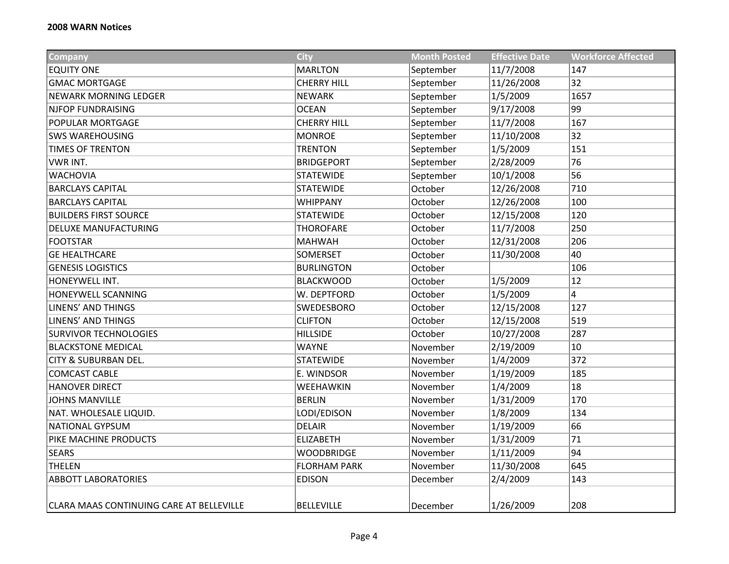| <b>Company</b>                           | <b>City</b>         | <b>Month Posted</b> | <b>Effective Date</b> | <b>Workforce Affected</b> |
|------------------------------------------|---------------------|---------------------|-----------------------|---------------------------|
| <b>EQUITY ONE</b>                        | <b>MARLTON</b>      | September           | 11/7/2008             | 147                       |
| <b>GMAC MORTGAGE</b>                     | <b>CHERRY HILL</b>  | September           | 11/26/2008            | 32                        |
| <b>NEWARK MORNING LEDGER</b>             | <b>NEWARK</b>       | September           | 1/5/2009              | 1657                      |
| <b>NJFOP FUNDRAISING</b>                 | <b>OCEAN</b>        | September           | 9/17/2008             | 99                        |
| POPULAR MORTGAGE                         | <b>CHERRY HILL</b>  | September           | 11/7/2008             | 167                       |
| <b>SWS WAREHOUSING</b>                   | <b>MONROE</b>       | September           | 11/10/2008            | 32                        |
| <b>TIMES OF TRENTON</b>                  | <b>TRENTON</b>      | September           | 1/5/2009              | 151                       |
| <b>VWR INT.</b>                          | <b>BRIDGEPORT</b>   | September           | 2/28/2009             | 76                        |
| <b>WACHOVIA</b>                          | <b>STATEWIDE</b>    | September           | 10/1/2008             | 56                        |
| <b>BARCLAYS CAPITAL</b>                  | <b>STATEWIDE</b>    | October             | 12/26/2008            | 710                       |
| <b>BARCLAYS CAPITAL</b>                  | WHIPPANY            | October             | 12/26/2008            | 100                       |
| <b>BUILDERS FIRST SOURCE</b>             | <b>STATEWIDE</b>    | October             | 12/15/2008            | 120                       |
| DELUXE MANUFACTURING                     | <b>THOROFARE</b>    | October             | 11/7/2008             | 250                       |
| <b>FOOTSTAR</b>                          | <b>MAHWAH</b>       | October             | 12/31/2008            | 206                       |
| <b>GE HEALTHCARE</b>                     | <b>SOMERSET</b>     | October             | 11/30/2008            | 40                        |
| <b>GENESIS LOGISTICS</b>                 | <b>BURLINGTON</b>   | October             |                       | 106                       |
| HONEYWELL INT.                           | <b>BLACKWOOD</b>    | October             | 1/5/2009              | 12                        |
| HONEYWELL SCANNING                       | W. DEPTFORD         | October             | 1/5/2009              | $\overline{4}$            |
| <b>LINENS' AND THINGS</b>                | SWEDESBORO          | October             | 12/15/2008            | 127                       |
| <b>LINENS' AND THINGS</b>                | <b>CLIFTON</b>      | October             | 12/15/2008            | 519                       |
| <b>SURVIVOR TECHNOLOGIES</b>             | <b>HILLSIDE</b>     | October             | 10/27/2008            | 287                       |
| <b>BLACKSTONE MEDICAL</b>                | <b>WAYNE</b>        | November            | 2/19/2009             | 10                        |
| CITY & SUBURBAN DEL.                     | <b>STATEWIDE</b>    | November            | 1/4/2009              | 372                       |
| <b>COMCAST CABLE</b>                     | E. WINDSOR          | November            | 1/19/2009             | 185                       |
| <b>HANOVER DIRECT</b>                    | WEEHAWKIN           | November            | 1/4/2009              | 18                        |
| <b>JOHNS MANVILLE</b>                    | <b>BERLIN</b>       | November            | 1/31/2009             | 170                       |
| NAT. WHOLESALE LIQUID.                   | LODI/EDISON         | November            | 1/8/2009              | 134                       |
| <b>NATIONAL GYPSUM</b>                   | <b>DELAIR</b>       | November            | 1/19/2009             | 66                        |
| PIKE MACHINE PRODUCTS                    | <b>ELIZABETH</b>    | November            | 1/31/2009             | 71                        |
| <b>SEARS</b>                             | <b>WOODBRIDGE</b>   | November            | 1/11/2009             | 94                        |
| <b>THELEN</b>                            | <b>FLORHAM PARK</b> | November            | 11/30/2008            | 645                       |
| <b>ABBOTT LABORATORIES</b>               | <b>EDISON</b>       | December            | 2/4/2009              | 143                       |
| CLARA MAAS CONTINUING CARE AT BELLEVILLE | <b>BELLEVILLE</b>   | December            | 1/26/2009             | 208                       |